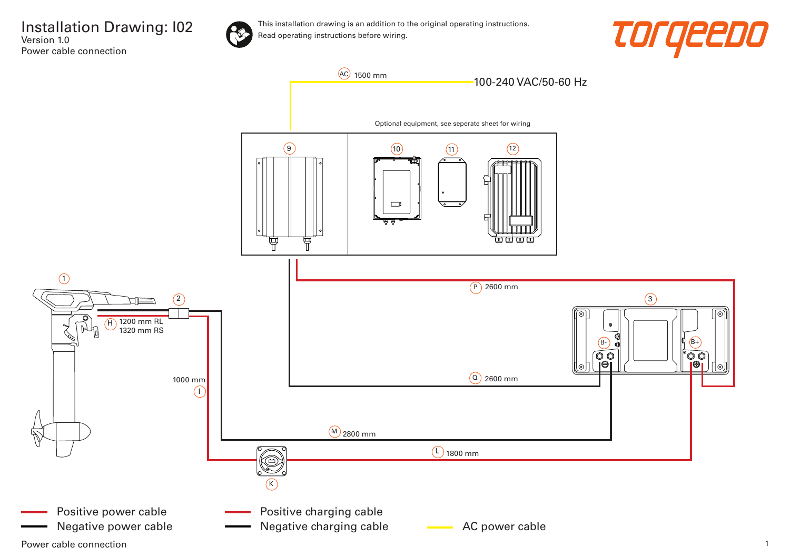



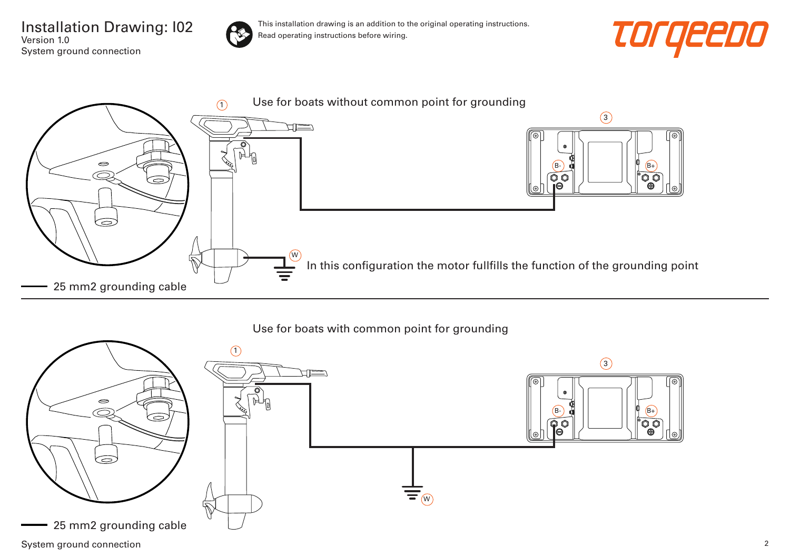Installation Drawing: I02 Version 1.0 System ground connection



This installation drawing is an addition to the original operating instructions. Read operating instructions before wiring.





## Use for boats with common point for grounding

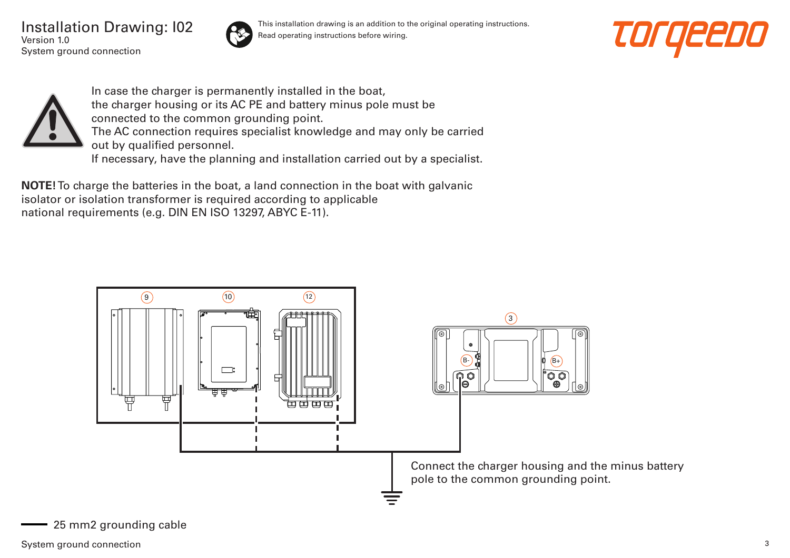Installation Drawing: I02 Version 1.0 System ground connection



This installation drawing is an addition to the original operating instructions. Read operating instructions before wiring.





In case the charger is permanently installed in the boat, the charger housing or its AC PE and battery minus pole must be connected to the common grounding point. The AC connection requires specialist knowledge and may only be carried out by qualified personnel. If necessary, have the planning and installation carried out by a specialist.

**NOTE!** To charge the batteries in the boat, a land connection in the boat with galvanic isolator or isolation transformer is required according to applicable national requirements (e.g. DIN EN ISO 13297, ABYC E-11).

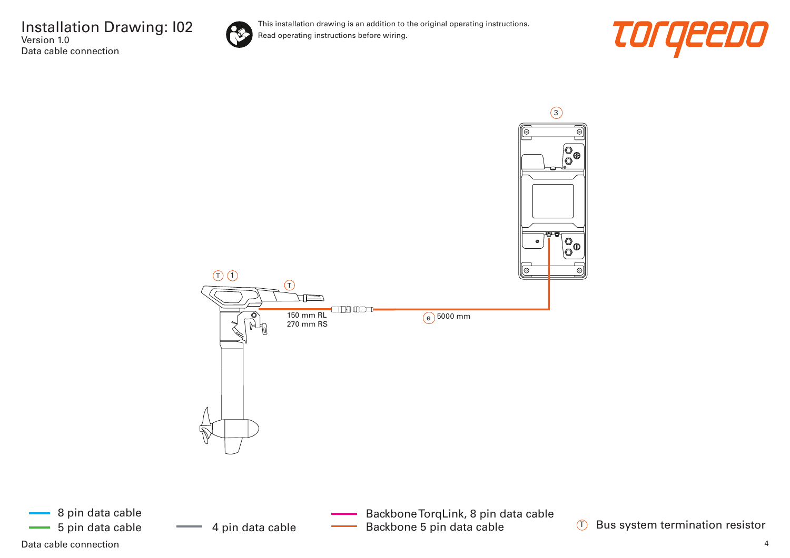

This installation drawing is an addition to the original operating instructions. Read operating instructions before wiring.





 $(T)$ 

Data cable connection and the connection of the control of the control of the control of the connection of the connection of the connection of the connection of the connection of the connection of the connection of the con

8 pin data cable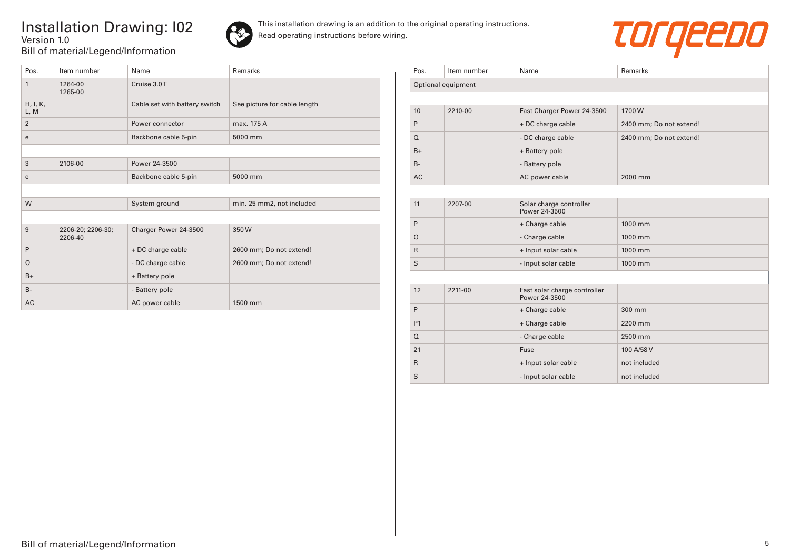## Installation Drawing: I02 Version 1.0 Bill of material/Legend/Information





| Pos.             | Item number                  | Name                          | Remarks                      |
|------------------|------------------------------|-------------------------------|------------------------------|
| $\mathbf{1}$     | 1264-00<br>1265-00           | Cruise 3.0T                   |                              |
| H, I, K,<br>L, M |                              | Cable set with battery switch | See picture for cable length |
| $\overline{2}$   |                              | Power connector               | max. 175 A                   |
| e                |                              | Backbone cable 5-pin          | 5000 mm                      |
|                  |                              |                               |                              |
| 3                | 2106-00                      | Power 24-3500                 |                              |
| e                |                              | Backbone cable 5-pin          | 5000 mm                      |
|                  |                              |                               |                              |
| W                |                              | System ground                 | min. 25 mm2, not included    |
|                  |                              |                               |                              |
| 9                | 2206-20; 2206-30;<br>2206-40 | Charger Power 24-3500         | 350W                         |
| P                |                              | + DC charge cable             | 2600 mm; Do not extend!      |
| $\Omega$         |                              | - DC charge cable             | 2600 mm; Do not extend!      |
| $B+$             |                              | + Battery pole                |                              |
| $B -$            |                              | - Battery pole                |                              |
| <b>AC</b>        |                              | AC power cable                | 1500 mm                      |

| Pos.      | Item number        | Name                       | Remarks                 |  |  |
|-----------|--------------------|----------------------------|-------------------------|--|--|
|           | Optional equipment |                            |                         |  |  |
|           |                    |                            |                         |  |  |
| 10        | 2210-00            | Fast Charger Power 24-3500 | 1700W                   |  |  |
| P         |                    | + DC charge cable          | 2400 mm; Do not extend! |  |  |
| $\Omega$  |                    | - DC charge cable          | 2400 mm; Do not extend! |  |  |
| $B+$      |                    | + Battery pole             |                         |  |  |
| $B -$     |                    | - Battery pole             |                         |  |  |
| <b>AC</b> |                    | AC power cable             | 2000 mm                 |  |  |

| 11             | 2207-00 | Solar charge controller<br>Power 24-3500      |              |
|----------------|---------|-----------------------------------------------|--------------|
| P              |         | + Charge cable                                | 1000 mm      |
| $\Omega$       |         | - Charge cable                                | 1000 mm      |
| $\mathsf{R}$   |         | + Input solar cable                           | 1000 mm      |
| S              |         | - Input solar cable                           | 1000 mm      |
|                |         |                                               |              |
| 12             | 2211-00 | Fast solar charge controller<br>Power 24-3500 |              |
| P              |         | + Charge cable                                | 300 mm       |
| P <sub>1</sub> |         | + Charge cable                                | 2200 mm      |
| $\Omega$       |         | - Charge cable                                | 2500 mm      |
| 21             |         | Fuse                                          | 100 A/58 V   |
| $\mathsf{R}$   |         | + Input solar cable                           | not included |
| S              |         | - Input solar cable                           | not included |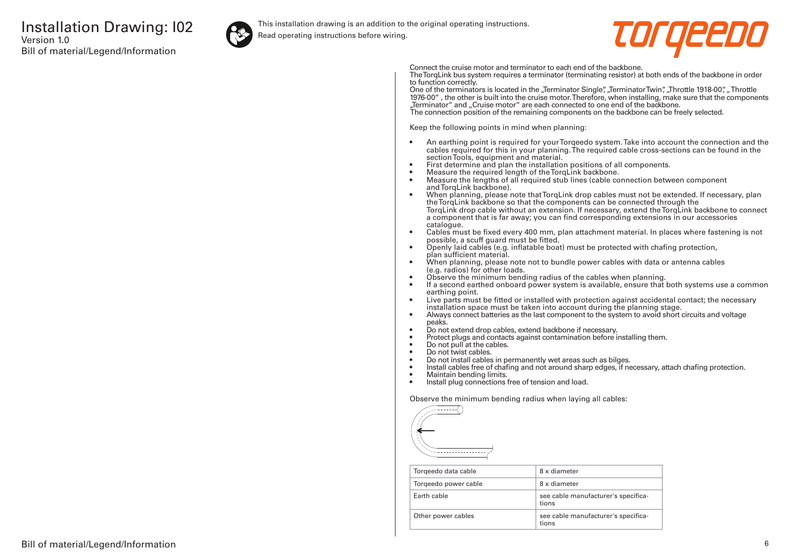

This installation drawing is an addition to the original operating instructions.

Read operating instructions before wiring.



Connect the cruise motor and terminator to each end of the backbone.

The TorqLink bus system requires a terminator (terminating resistor) at both ends of the backbone in order to function correctly.

One of the terminators is located in the "Terminator Single", "Terminator Twin", "Throttle 1918-00", "Throttle 1976-00" , the other is built into the cruise motor. Therefore, when installing, make sure that the components "Terminator" and "Cruise motor" are each connected to one end of the backbone. The connection position of the remaining components on the backbone can be freely selected.

Keep the following points in mind when planning:

- An earthing point is required for your Torqeedo system. Take into account the connection and the cables required for this in your planning. The required cable cross-sections can be found in the section Tools, equipment and material.
- First determine and plan the installation positions of all components.
- Measure the required length of the TorqLink backbone.<br>• Measure the lengths of all required stub lines (cable co
- Measure the lengths of all required stub lines (cable connection between component and TorgLink backbone).
- When planning, please note that TorqLink drop cables must not be extended. If necessary, plan the TorqLink backbone so that the components can be connected through the TorqLink drop cable without an extension. If necessary, extend the TorqLink backbone to connect a component that is far away; you can find corresponding extensions in our accessories catalogue.
- Cables must be fixed every 400 mm, plan attachment material. In places where fastening is not possible, a scuff guard must be fitted.
- Openly laid cables (e.g. inflatable boat) must be protected with chafing protection, plan sufficient material.
- When planning, please note not to bundle power cables with data or antenna cables (e.g. radios) for other loads.
- Observe the minimum bending radius of the cables when planning.
- If a second earthed onboard power system is available, ensure that both systems use a common earthing point.
- Live parts must be fitted or installed with protection against accidental contact; the necessary installation space must be taken into account during the planning stage.
- Always connect batteries as the last component to the system to avoid short circuits and voltage peaks.
- Do not extend drop cables, extend backbone if necessary.
- Protect plugs and contacts against contamination before installing them.
- Do not pull at the cables.
- Do not twist cables.
- Do not install cables in permanently wet areas such as bilges.
- Install cables free of chafing and not around sharp edges, if necessary, attach chafing protection.<br>• Maintain bending limits
- Maintain bending limits.
- Install plug connections free of tension and load.

Observe the minimum bending radius when laying all cables:



| Torgeedo data cable  | 8 x diameter                                 |
|----------------------|----------------------------------------------|
| Torgeedo power cable | 8 x diameter                                 |
| Farth cable          | see cable manufacturer's specifica-<br>tions |
| Other power cables   | see cable manufacturer's specifica-<br>tions |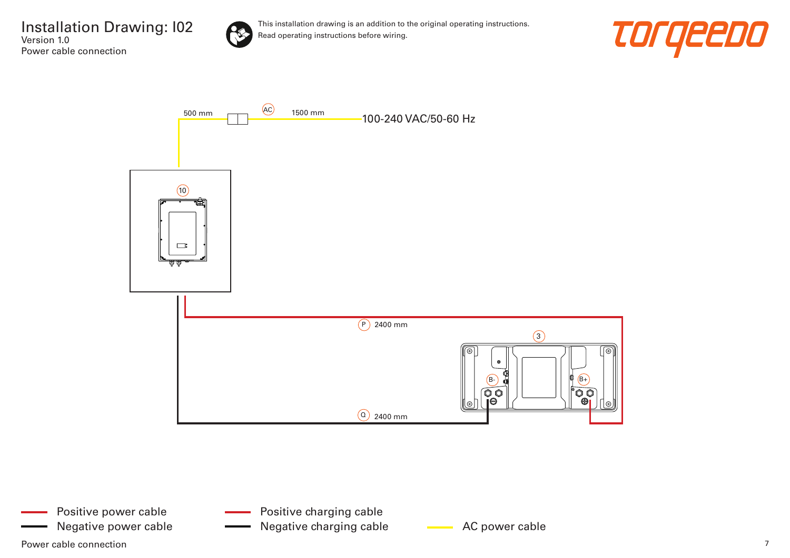

This installation drawing is an addition to the original operating instructions. Read operating instructions before wiring.





Positive charging cable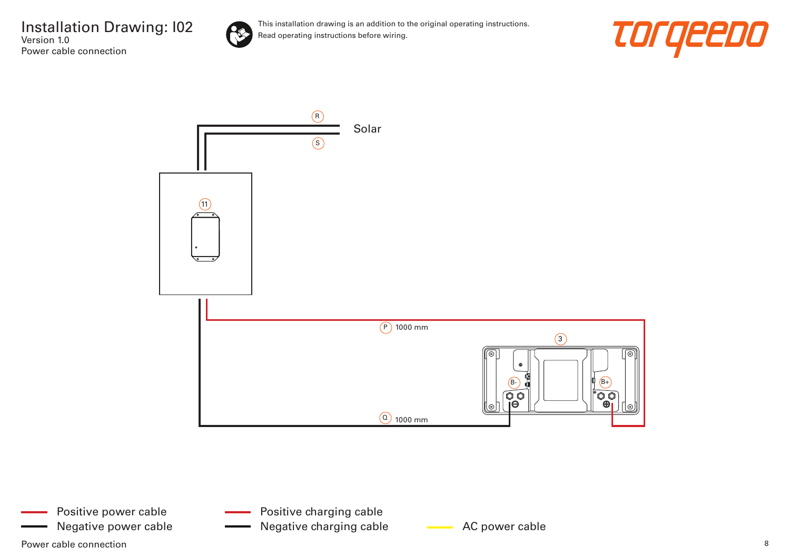





- Positive charging cable
- Negative power cable **AC AC power cable** Negative charging cable **AC** power cable